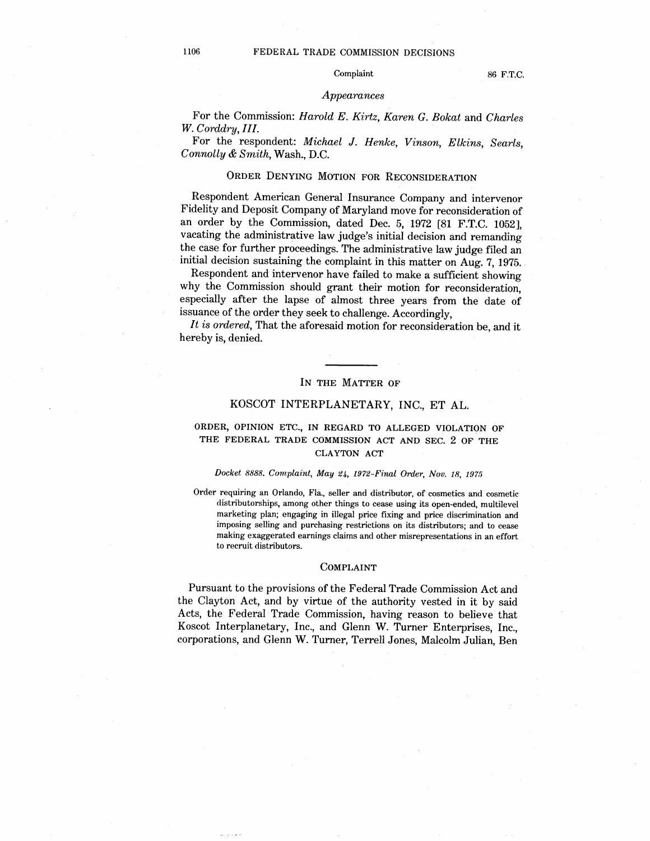# 1106 FEDERAL TRADE COMMISSION DECISIONS

## Complaint 86 F.T.C.

### *Appearances*

For the Commission: Harold E. Kirtz, Karen G. Sokat and Charles W. Corddry, III.

For the respondent: Michael J. Henke, Vinson, Elkins, Searls Connolly & Smith, Wash., D.C.

# ORDER DENYING MOTION FOR RECONSIDERATION

Respondent American General Insurance Company and intervenor Fidelity and Deposit Company of Maryland move for reconsideration of an order by the Commission, dated Dec. 5, 1972 [81 F.T.C. 1052], vacating the administrative law judge's initial decision and remanding the case for further proceedings. The administrative law judge filed an initial decision sustaining the complaint in this matter on Aug. 7, 1975.

Respondent and intervenor have failed to make a sufficient showing why the Commission should grant their motion for reconsideration especially after the lapse of almost three years from the date of issuance of the order they seek to challenge. Accordingly,

It is ordered. That the aforesaid motion for reconsideration be, and it hereby is, denied.

## IN THE MATTER OF

# KOSCOT INTERPLANETARY, INC., ET AL.

# ORDER, OPINION ETC., IN REGARD TO ALLEGED VIOLATION OF THE FEDERAL TRADE COMMISSION ACT AND SEC. 2 OF THE CLA YTON ACT

## Docket 8888. Complaint, May 24, 1972-Final Order, Nov. 18, 1975

Order requiring an Orlando, Fla., seller and distributor, of cosmetics and cosmetic distributorships, among other things to cease using its open-ended, multilevel marketing plan; engaging in ilegal price fixing and price discrimination and imposing selling and purchasing restrictions on its distributors; and to cease making exaggerated earnings claims and other misrepresentations in an effort to recruit distributors.

### COMPLAINT

Pursuant to the provisions of the Federal Trade Commission Act and the Clayton Act, and by virtue of the authority vested in it by said Acts, the Federal Trade Commission, having reason to believe that Koscot Interplanetary, Inc., and Glenn W. Turner Enterprises, Inc. corporations, and Glenn W. Turner, Terrell Jones, Malcolm Julian, Ben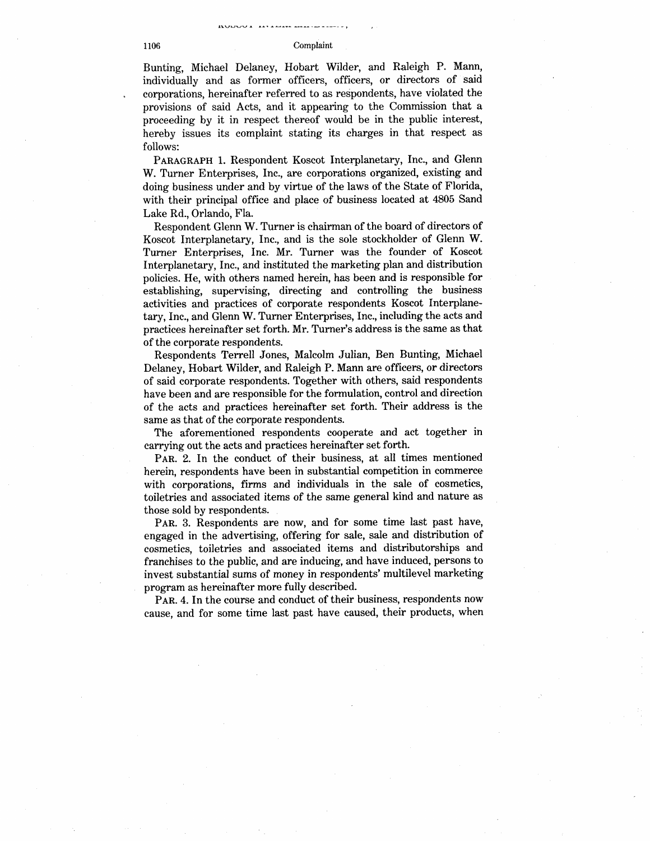## 1106 Complaint

Bunting, Michael Delaney, Hobart Wilder, and Raleigh P. Mann individually and as former officers, officers, or directors of said corporations, hereinafter referred to as respondents, have violated the provisions of said Acts, and it appearing to the Commission that a proceeding by it in respect thereof would be in the public interest hereby issues its complaint stating its charges in that respect as follows:

PARAGRAPH 1. Respondent Koscot Interplanetary, Inc., and Glenn W. Turner Enterprises, Inc., are corporations organized, existing and doing business under and by virtue of the laws of the State of Florida with their principal office and place of business located at 4805 Sand Lake Rd., Orlando, Fla.

Respondent Glenn W. Turner is chairman of the board of directors of Koscot Interplanetary, Inc., and is the sole stockholder of Glenn W. Turner Enterprises, Inc. Mr. Turner was the founder of Koscot InterpJanetary, Inc., and instituted the marketing plan and distribution policies. He, with others named herein, has been and is responsible for establishing, supervising, directing and controllng the business activities and practices of corporate respondents Koscot Interplanetary, Inc., and Glenn W. Turner Enterprises, Inc., including the acts and practices hereinafter set forth. Mr. Turner's address is the same as that of the corporate respondents.

Respondents Terrell Jones, Malcolm Julian, Ben Bunting, Michael Delaney, Hobart Wilder, and Raleigh P. Mann are officers, or directors of said corporate respondents. Together with others, said respondents have been and are responsible for the formulation, control and direction of the acts and praetiees hereinafter set forth. Their address is the same as that of the corporate respondents.

The aforementioned respondents cooperate and act together in carrying out the acts and practices hereinafter set forth.

PAR. 2. In the conduct of their business, at all times mentioned herein, respondents have been in substantial competition in commerce with corporations, firms and individuals in the sale of cosmetics, toiletries and associated items of the same general kind and nature as those sold by respondents.

PAR. 3. Respondents are now, and for some time last past have engaged in the advertising, offering for sale, sale and distribution of cosmeties, toiletries and associated items and distributorships and franchises to the public, and are inducing, and have induced, persons to invest substantial sums of money in respondents' multievel marketing program as hereinafter more fully described.

PAR. 4. In the course and conduct of their business, respondents now cause, and for some time last past have caused, their products, when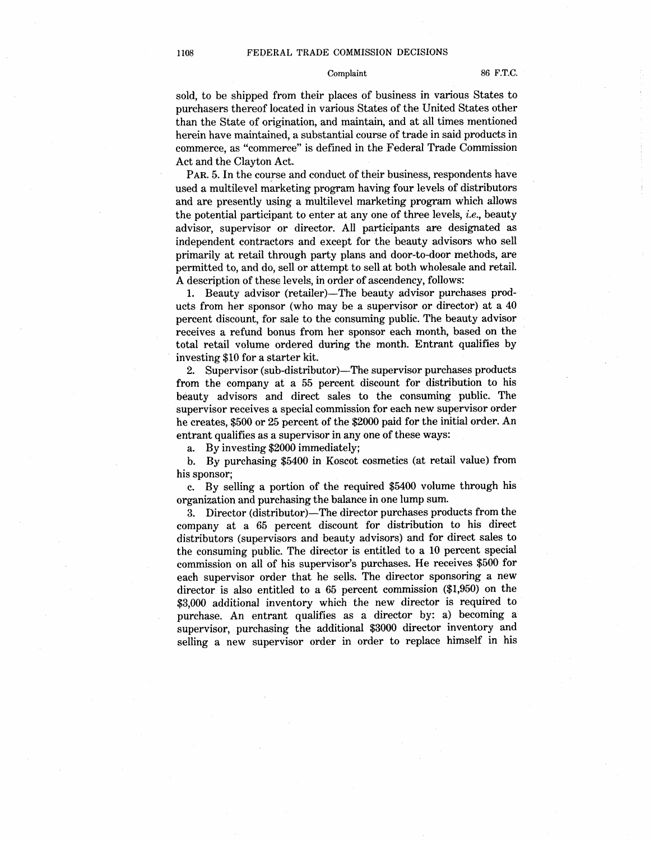sold, to be shipped from their places of business in various States to purchasers thereof located in various States of the United States other than the State of origination, and maintain, and at all times mentioned herein have maintained, a substantial course of trade in said products in commerce, as "commerce" is defined in the Federal Trade Commission Act and the Clayton Act.

PAR. 5. In the course and conduct of their business, respondents have used a multilevel marketing program having four levels of distributors and are presently using a multilevel marketing program which allows the potential participant to enter at any one of three levels, *i.e.*, beauty advisor, supervisor or director. All participants are designated as independent contractors and except for the beauty advisors who sell primarily at retail through party plans and door-to-door methods, are permitted to, and do, sell or attempt to sell at both wholesale and retail. A description of these levels, in order of ascendency, follows:

1. Beauty advisor (retailer)—The beauty advisor purchases products from her sponsor (who may be a supervisor or director) at a 40 percent discount, for sale to the consuming public. The beauty advisor receives a refund bonus from her sponsor each month, based on the total retail volume ordered during the month. Entrant qualifies by investing \$10 for a starter kit.

2. Supervisor (sub-distributor)—The supervisor purchases products from the company at a 55 percent discount for distribution to his beauty advisors and direct sales to the consuming public. The supervisor receives a special commission for each new supervisor order he creates, \$500 or 25 percent of the \$2000 paid for the initial order. An entrant qualifies as a supervisor in anyone of these ways:

a. By investing \$2000 immediately;

b. By purchasing \$5400 in Koscot cosmetics (at retail value) from his sponsor;

c. By sellng a portion of the required \$5400 volume through his organization and purchasing the balance in one lump sum.

3. Director (distributor)—The director purchases products from the company at a 65 percent discount for distribution to his direct distributors (supervisors and beauty advisors) and for direct sales to the consuming public. The director is entitled to a 10 percent special commission on all of his supervisor's purchases. He receives \$500 for each supervisor order that he sells. The director sponsoring a new director is also entitled to a 65 percent commission (\$1,950) on the \$3,000 additional inventory which the new director is required to purehase. An entrant qualifies as a director by: a) becoming a supervisor, purchasing the additional \$3000 director inventory and sellng a new supervisor order in order to replace himself in his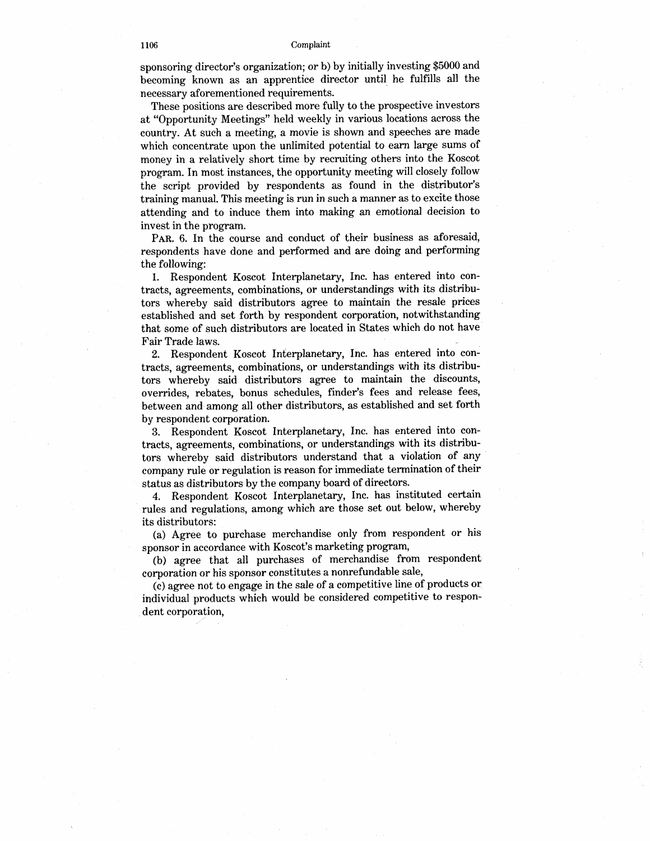sponsoring director's organization; or b) by initially investing \$5000 and becoming known as an apprentice director until he fulfils all the necessary aforementioned requirements.

These positions are descrihed more fully to the prospective investors at "Opportunity Meetings" held weekly in various locations across the country. At such a meeting, a movie is shown and speeches are made which concentrate upon the unlimited potential to earn large sums of money in a relatively short time by recruiting others into the Koscot program. In most instances, the opportunity meeting wil closely follow the script provided by respondents as found in the distributor training manual. This meeting is run in such a manner as to excite those attending and to induce them into making an emotional decision to invest in the program.

PAR. 6. In the course and conduct of their business as aforesaid, respondents have done and performed and are doing and performing the following:

1. Respondent Koseot Interplanetary, Inc. has entered into contracts, agreements, combinations, or understandings with its distributors whereby said distributors agree to maintain the resale prices established and set forth by respondent corporation, notwithstanding that some of sueh distributors are located in States which do not have Fair Trade laws.

2. Respondent Koscot Interplanetary, Inc. has entered into contracts, agreements, combinations, or understandings with its distributors whereby said distributors agree to maintain the discounts overrides, rebates, bonus schedules, finder's fees and release fees, between and among all other distributors, as established and set forth by respondent corporation.

3. Respondent Koscot Interplanetary, Inc. has entered into contracts, agreements, combinations, or understandings with its distributors whereby said distributors understand that a violation of any company rule or regulation is reason for immediate termination of their status as distributors by the company board of directors.

4. Respondent Koscot Interplanetary, Inc. has instituted certain rules and regulations, among which are those set out below, whereby its distributors:

(a) Agree to purchase merchandise only from respondent or his sponsor in accordance with Koscot's marketing program

(b) agree that all purchases of merchandise from respondent corporation or his sponsor constitutes a nonrefundable sale

(c) agree not to engage in the sale of a competitive line of products or individual products which would be considered competitive to respondent corporation,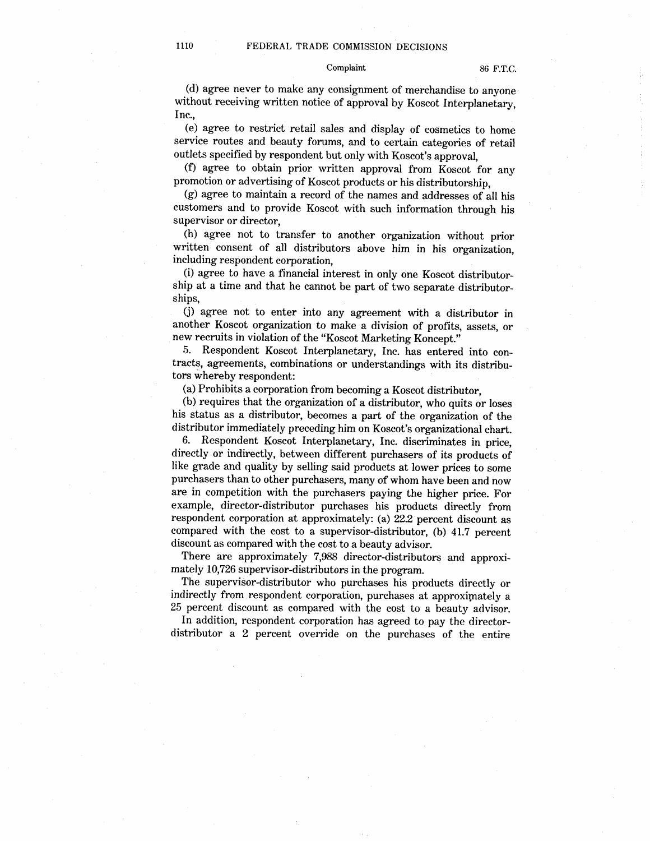## Complaint 86 F.T.C.

(d) agree never to make any consignment of merchandise to anyone without receiving written notice of approval by Koscot Interplanetary, Inc.

(e) agree to restrict retail sales and display of cosmetics to home service routes and beauty forums, and to certain categories of retail outlets specified by respondent but only with Koscot's approval

(f) agree to obtain prior written approval from Koscot for any promotion or advertising of Koscot products or his distributorship,

(g) agree to maintain a record of the names and addresses of all his customers and to provide Koscot with such information through his supervisor or director

(h) agree not to transfer to another organization without prior written consent of all distributors above him in his organization, including respondent corporation

(i) agree to have a financial interest in only one Koscot distributorship at a time and that he cannot be part of two separate distributorships

(j) agree not to enter into any agreement with a distributor in another Koscot organization to make a division of profits, assets, or new recruits in violation of the "Koscot Marketing Koncept."

5. Respondent Koscot Interplanetary, Inc. has entered into contracts, agreements, combinations or understandings with its distributors whereby respondent:

(a) Prohibits a corporation from becoming a Koscot distributor

(b) requires that the organization of a distributor, who quits or loses his status as a distributor, becomes a part of the organization of the distributor immediately preceding him on Koscot's organizational chart.

6. Respondent Koscot Interplanetary, Inc. discriminates in price directly or indirectly, between different purchasers of its products of like grade and quality by selling said products at Jower prices to some purchasers than to other purchasers, many of whom have been and now are in competition with the purchasers paying the higher price. For example, director-distributor purchases his products directly from respondent corporation at approximately: (a) 22.2 percent discount as compared with the cost to a supervisor-distributor, (b) 41.7 percent discount as compared with the cost to a beauty advisor.

There are approximately 7,988 director-distributors and approximately 10 726 supervisor-distributors in the program.

The supervisor-distributor who purchases his products directly or indirectly from respondent corporation, purchases at approximately a 25 percent discount as compared with the cost to a beauty advisor.

In addition, respondent corporation has agreed to pay the directordistributor a 2 percent override on the purchases of the entire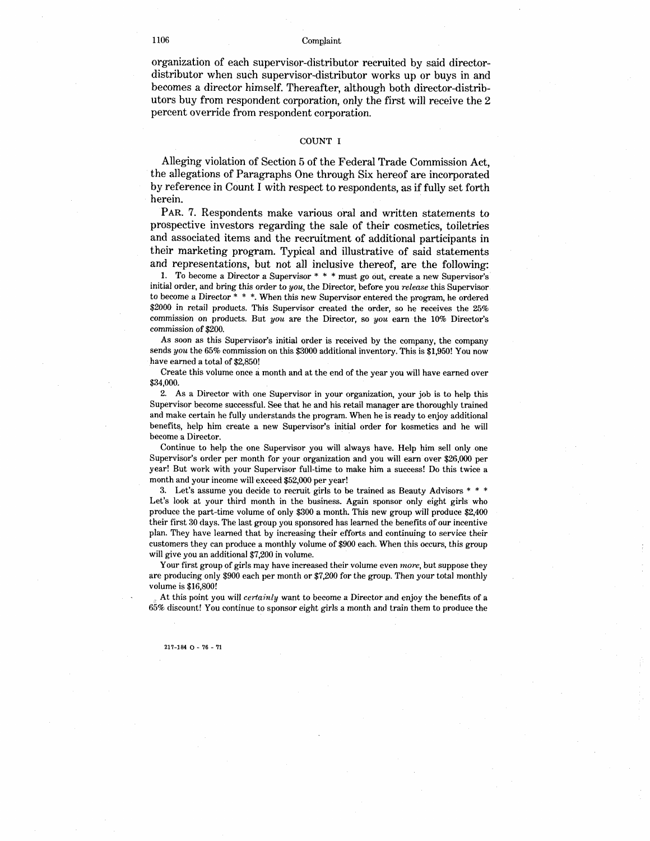## 1106 Complaint

organization of each supervisor-distributor recruited hy said directordistributor when such supervisor-distributor works up or buys in and becomes a director himself. Thereafter, although both director-distributors buy from respondent corporation, only the first will receive the 2 percent override from respondent corporation.

## COUNT I

Alleging violation of Section 5 of the Federal Trade Commission Act the allegations of Paragraphs One through Six hereof are incorporated by reference in Count I with respect to respondents, as if fully set forth herein.

PAR. 7. Respondents make various oral and written statements to prospeetive investors regarding the sale of their cosmetics, toiletries and associated items and the recruitment of additional participants in their marketing program. Typical and illustrative of said statements and representations, but not all inclusive thereof, are the following:

1. To become a Director a Supervisor  $* * *$  must go out, create a new Supervisor's initial order, and bring this order to you, the Director, before you release this Supervisor to become a Director \* \* \*. When this new Supervisor entered the program, he ordered \$2000 in retail products. This Supervisor created the order, so he receives the 25% commission on products. But you are the Director, so you earn the 10% Director's commission of \$200.

As soon as this Supervisor's initial order is received by the company, the company sends you the 65% commission on this \$3000 additional inventory. This is \$1,950! You now have earned a total of \$2,850!

Create this voJume once a month and at the end of the year you wil have earned over \$34,000.

2. As a Director with one Supervisor in your organization, your job is to help this Supervisor become successful. See that he and his retail manager are thoroughly trained and make certain he fully understands the program. When he is ready to enjoy additional benefits, help him create a new Supervisor's initial order for kosmetics and he will become a Director.

Continue to help the one Supervisor you will always have. Help him sel! only one Supervisor's order per month for your organization and you will earn over \$26,000 per year! But work with your Supervisor fuJI-time to make him a success! Do this twice a month and your income willexceed \$52 000 per year!

3. Let's assume you decide to recruit girls to be trained as Beauty Advisors  $* * *$ Let's look at your third month in the business. Again sponsor only eight girls who produce the part-time volume of only \$300 a month. This new group will produce \$2 400 their first 30 days. The last group you sponsored has learned the benefits of our incentive plan. They have learned that by increasing their efforts and continuing to service their customers they can produce a monthly volume of \$900 each. When this occurs, this group will give you an additional \$7,200 in volume.

Your first group of girls may have increased their volume even *more*, but suppose they are producing only \$900 each per month or \$7 200 for the group. Then your total monthly volume is \$16,800!

At this point you will *certainly* want to become a Director and enjoy the benefits of a  $65\%$  discount! You continue to sponsor eight girls a month and train them to produce the

### $217-184$   $\Omega$  - 76 - 71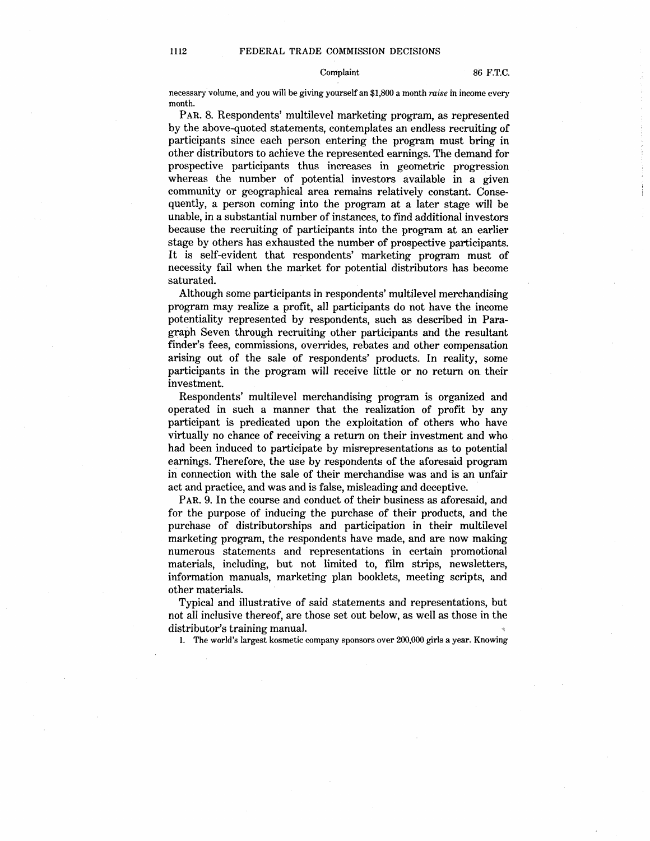#### Complaint 86 F.T.C.

necessary volume, and you will be giving yourself an \$1,800 a month raise in income every month.

PAR. 8. Respondents' multilevel marketing program, as represented by the above-quoted statements, contemplates an endless recruiting of participants since each person entering the program must bring in other distributors to achieve the represented earnings. The demand for prospective participants thus increases in geometric progression whereas the number of potential investors available in a given community or geographical area remains relatively constant. Consequently, a person coming into the program at a later stage wil be unable, in a substantial number of instances, to find additional investors because the recruiting of participants into the program at an earlier stage by others has exhausted the number of prospective participants. It is self-evident that respondents' marketing program must of necessity fail when the market for potential distributors has become saturated.

Although some participants in respondents' multilevel merehandising program may realize a profit, all participants do not have the income potentiality represented by respondents, such as described in Paragraph Seven through recruiting other participants and the resultant finder's fees, commissions, overrides, rebates and other compensation arising out of the sale of respondents' products. In reality, some participants in the program will receive little or no return on their investment.

Respondents' multilevel merchandising program is organized and operated in such a manner that the realization of profit by any participant is predicated upon the exploitation of others who have virtually no chance of receiving a return on their investment and who had been induced to participate by misrepresentations as to potential earnings. Therefore, the use by respondents of the aforesaid program in connection with the sale of their merchandise was and is an unfair act and practice, and was and is false, misleading and deceptive.

PAR. 9. In the course and conduct of their business as aforesaid, and for the purpose of inducing the purchase of their products, and the purchase of distributorships and participation in their multilevel marketing program, the respondents have made, and are now making numerous statements and representations in certain promotional materials, including, but not limited to, film strips, newsletters information manuals, marketing plan booklets, meeting scripts, and other materials.

Typical and illustrative of said statements and representations, but not all inclusive thereof, are those set out below, as well as those in the distributor's training manual.

1. The world's largest kosmetic company sponsors over 200,000 girls a year. Knowing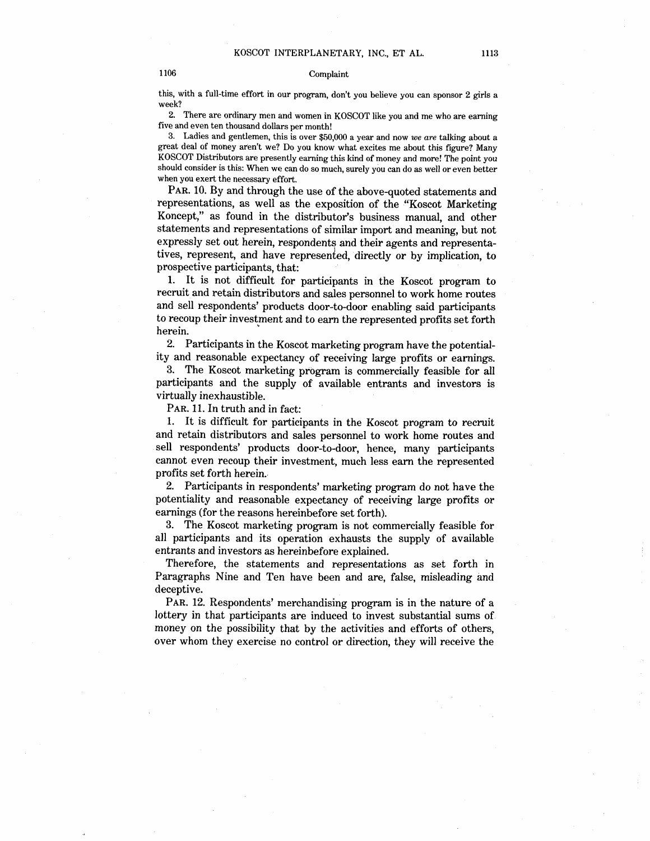## 1106 Complaint

this, with a full-time effort in our program, don't you believe you can sponsor 2 girls a week?

2. There are ordinary men and women in KOSCOT like you and me who are earning five and even ten thousand dollars per monthl

3. Ladies and gentlemen, this is over \$50,000 a year and now we are talking about a great deal of money aren't we? Do you know what excites me about this figure? Many KOSCOT Distributors are presently earning this kind of money and more! The point you should consider is this: When we can do so much, surely you can do as well or even better when you exert the necessary effort.

PAR. 10. By and through the use of the above-quoted statements and representations, as well as the exposition of the "Koscot Marketing Koncept," as found in the distributor's business manual, and other statements and representations of similar import and meaning, but not expressly set out herein, respondents and their agents and representatives, represent, and have represented, directly or by implication, to prospective participants, that:

1. It is not difficult for participants in the Koscot program to recruit and retain distributors and sales personnel to work home routes and sell respondents' products door-to-door enabling said participants to recoup their investment and to earn the represented profits set forth herein.

2. Participants in the Koscot marketing program have the potentiality and reasonable expectancy of receiving large profits or earnings.

3. The Koscot marketing program is commercially feasible for all participants and the supply of available entrants and investors is virtually inexhaustible.

PAR. 11. In truth and in fact:

1. It is difficult for participants in the Koscot program to recruit and retain distributors and sales personnel to work home routes and sell respondents' products door-to-door, hence, many participants cannot even recoup their investment, much less earn the represented profits set forth herein.

2. Participants in respondents' marketing program do not have the potentiality and reasonable expectancy of receiving large profits or earnings (for the reasons hereinbefore set forth).

3. The Koscot marketing program is not commercially feasible for all participants and its operation exhausts the supply of available entrants and investors as hereinbefore explained.

Therefore, the statements and representations as set forth in Paragraphs Nine and Ten have been and are, false, misleading and deceptive.

PAR. 12. Respondents' merehandising program is in the nature of a lottery in that participants are induced to invest substantial sums of money on the possibility that by the activities and efforts of others, over whom they exercise no control or direction, they will receive the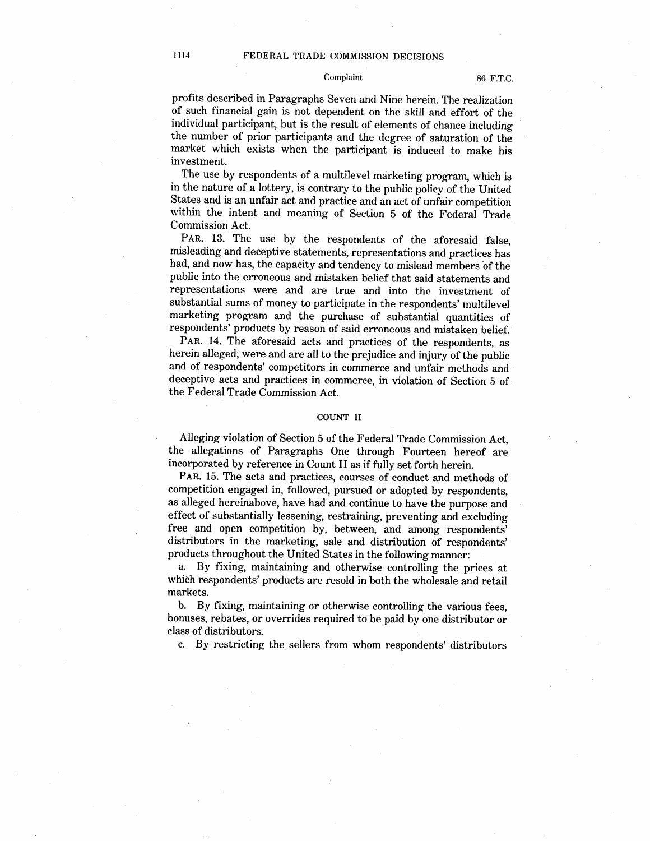## Complaint 86 F.T.C.

profits described in Paragraphs Seven and Nine herein. The realization of such financial gain is not dependent on the skill and effort of the individual participant, but is the result of elements of chance including the number of prior participants and the degree of saturation of the market which exists when the participant is induced to make his investment.

The use by respondents of a multilevel marketing program, which is in the nature of a lottery, is contrary to the public policy of the United States and is an unfair act and practice and an act of unfair competition within the intent and meaning of Section 5 of the Federal Trade Commission Act.

PAR. 13. The use by the respondents of the aforesaid false, misleading and deceptive statements, representations and practices has had, and now has, the capacity and tendency to mislead members of the public into the erroneous and mistaken belief that said statements and representations were and are true and into the investment of substantial sums of money to participate in the respondents' multilevel marketing program and the purchase of substantial quantities of respondents' products by reason of said erroneous and mistaken belief.

PAR. 14. The aforesaid acts and practices of the respondents, as herein alleged; were and are all to the prejudice and injury of the public and of respondents' competitors in commerce and unfair methods and deceptive acts and practices in commerce, in violation of Section 5 of the Federal Trade Commission Act.

## COUNT II

Alleging violation of Section 5 of the Federal Trade Commission Act the allegations of Paragraphs One through Fourteen hereof are incorporated by reference in Count II as if fully set forth herein.

PAR. 15. The acts and practices, courses of conduct and methods of competition engaged in, followed, pursued or adopted by respondents as alleged hereinabove, have had and continue to have the purpose and effect of substantially lessening, restraining, preventing and excluding free and open competition by, between, and among respondents distributors in the marketing, sale and distribution of respondents products throughout the United States in the following manner:

a. By fixing, maintaining and otherwise controlling the prices at which respondents' products are resold in both the wholesale and retail markets.

b. By fixing, maintaining or otherwise controlling the various fees. bonuses, rebates, or overrides required to be paid by one distributor or class of distributors.

c. By restricting the sellers from whom respondents' distributors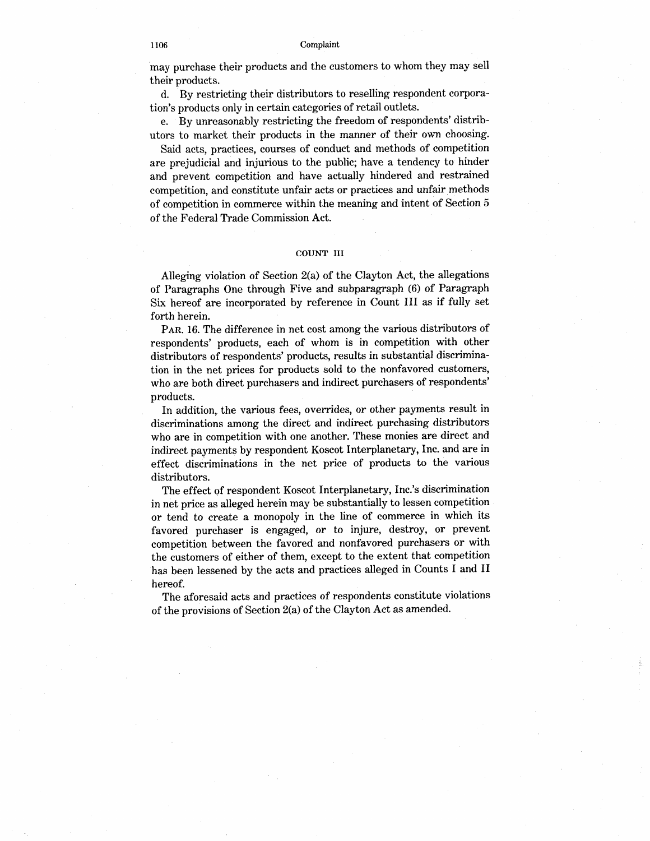may purchase their products and the customers to whom they may sell their products.

d. By restricting their distributors to reselling respondent eorporation's products only in certain categories of retail outlets.

e. By unreasonably restricting the freedom of respondents' distributors to market their products in the manner of their own choosing.

Said acts, practices, courses of conduct and methods of competition are prejudicial and injurious to the public; have a tendency to hinder and prevent competition and have actually hindered and restrained competition, and constitute unfair acts or practices and unfair methods of competition in commerce within the meaning and intent of Section 5 of the Federal Trade Commission Act.

## COUNT II

Alleging violation of Section 2(a) of the Clayton Act, the allegations of Paragraphs One through Five and subparagraph (6) of Paragraph Six hereof are incorporated by reference in Count III as if fully set forth herein.

PAR. 16. The difference in net cost among the various distributors of respondents' products, each of whom is in competition with other distributors of respondents' products, results in substantial discrimination in the net prices for products sold to the nonfavored customers who are both direct purchasers and indirect purchasers of respondents' products.

In addition, the various fees, overrides, or other payments result in discriminations among the direct and indirect purchasing distributors who are in competition with one another. These monies are direct and indirect payments by respondent Koscot Interplanetary, Inc. and are in effect diseriminations in the net price of products to the various distributors.

The effect of respondent Koscot Interplanetary, Inc.'s discrimination in net price as alleged herein may be substantially to lessen competition or tend to create a monopoly in the line of commerce in which its favored purchaser is engaged, or to injure, destroy, or prevent competition between the favored and nonfavored purchasers or with the customers of either of them, except to the extent that competition has been lessened by the acts and practices alleged in Counts I and 1I hereof.

The aforesaid acts and practices of respondents constitute violations of the provisions of Section  $2(a)$  of the Clayton Act as amended.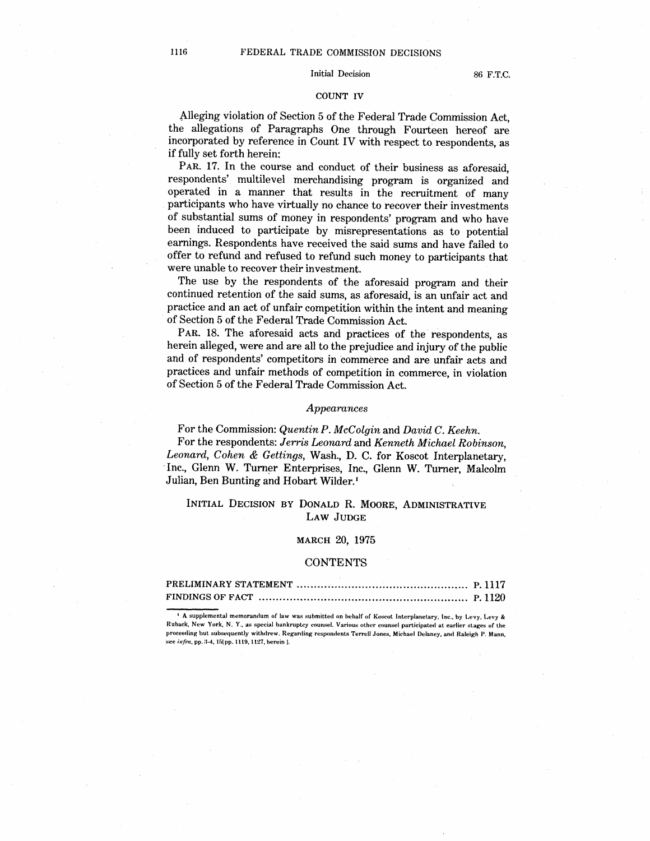## Initial Decision 86 F.T.C.

#### COUNT IV

Alleging violation of Section 5 of the Federal Trade Commission Act the allegations of Paragraphs One through Fourteen hereof are ineorporated by reference in Count IV with respect to respondents, as if fully set forth herein:

PAR. 17. In the course and conduct of their business as aforesaid respondents' multilevel merchandising program is organized and operated in a manner that results in the reeruitment of many participants who have virtually no chance to recover their investments of substantial sums of money in respondents' program and who have been induced to participate by misrepresentations as to potential earnings. Respondents have received the said sums and have failed to offer to refund and refused to refund such money to participants that were unable to recover their investment.

The use by the respondents of the aforesaid program and their continued retention of the said sums, as aforesaid, is an unfair act and practice and an act of unfair competition within the intent and meaning of Section 5 of the Federal Trade Commission Act.

PAR. 18. The aforesaid acts and practices of the respondents, as herein alleged, were and are all to the prejudice and injury of the public and of respondents' competitors in commerce and are unfair acts and practices and unfair methods of competition in commerce, in violation of Section 5 of the Federal Trade Commission Act.

## Appearances

For the Commission: Quentin P. McColgin and David C. Keehn. For the respondents: Jerris Leonard and Kenneth Michael Robinson. Leonard, Cohen & Gettings, Wash., D. C. for Koscot Interplanetary, Inc., Glenn W. Turner Enterprises, Inc., Glenn W. Turner, Malcolm Julian, Ben Bunting and Hobart Wilder.<sup>1</sup>

# INITIAL DECISION BY DONALD R. MOORE, ADMINISTRATIVE LAW JUDGE

## MARCH 20, 1975

## **CONTENTS**

<sup>4</sup> A supplemental memorandum of law was submitted on behalf of Koscot Interplanetary, Inc., by Levy, Levy & Ruback, New York, N. Y., as special bankruptcy counsel. Various other counsel participated at earlier stages of the proceeding but subsequently withdrew. Regarding respondents Terrell Jones, Michael Delaney, and Raleigh P. Mann, see infra, pp. 3-4, 15[pp. 1119, 1127, herein ].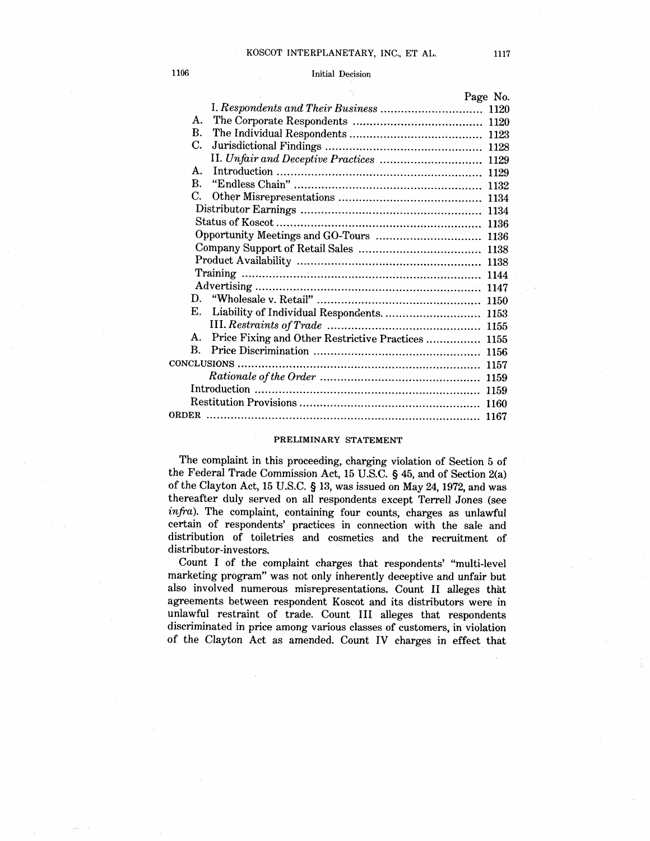## 1106 Initial Decision

|                                                          | Page No. |
|----------------------------------------------------------|----------|
|                                                          | 1120     |
| А.                                                       |          |
| B.                                                       |          |
| С.                                                       | 1128     |
|                                                          | 1129     |
| $A_{-}$                                                  | 1129     |
| $\mathbf{R}$ .                                           | 1132     |
| C.                                                       | 1134     |
|                                                          |          |
|                                                          | 1136     |
|                                                          | 1136     |
|                                                          |          |
|                                                          | 1138     |
|                                                          | 1144     |
|                                                          | -1147    |
|                                                          |          |
| E. Liability of Individual Respondents.  1153            |          |
|                                                          |          |
| А.<br>Price Fixing and Other Restrictive Practices  1155 |          |
| B.                                                       |          |
|                                                          |          |
|                                                          | 1159     |
|                                                          | 1159     |
|                                                          | 1160     |
| <b>ORDER</b>                                             | 1167     |
|                                                          |          |

## PRELIMINARY STATEMENT

The complaint in this proceeding, charging violation of Section 5 of the Federal Trade Commission Act, 15 U.S.C. § 45, and of Section 2(a) of the Clayton Act, 15 U.S.C.  $\S$  13, was issued on May 24, 1972, and was thereafter duly served on all respondents except Terrell Jones (see infra). The complaint, containing four counts, charges as unlawful certain of respondents' practices in connection with the sale and distribution of toiletries and cosmetics and the recruitment of distributor-investors.

Count I of the complaint charges that respondents multi-level marketing program" was not only inherently deceptive and unfair but also involved numerous misrepresentations. Count II alleges that agreements between respondent Koscot and its distributors were in unlawful restraint of trade. Count III alleges that respondents discriminated in price among various classes of customers, in violation of the Clayton Act as amended. Count IV charges in effect that